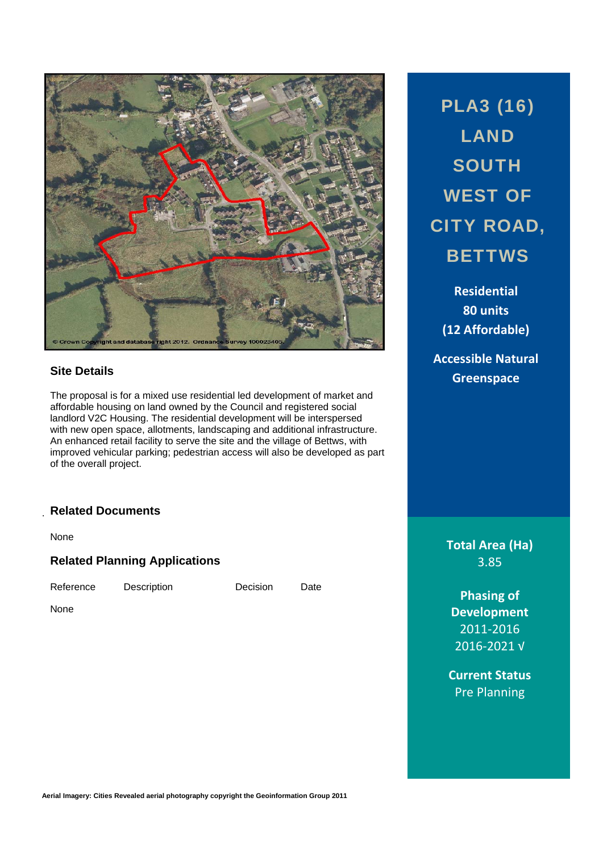

### **Site Details**

The proposal is for a mixed use residential led development of market and affordable housing on land owned by the Council and registered social landlord V2C Housing. The residential development will be interspersed with new open space, allotments, landscaping and additional infrastructure. An enhanced retail facility to serve the site and the village of Bettws, with improved vehicular parking; pedestrian access will also be developed as part of the overall project.

### . **Related Documents**

None

**Related Planning Applications** 

Reference Description Decision Date

None

PLA3 (16) LAND **SOUTH** WEST OF CITY ROAD, **BETTWS** 

> **Residential 80 units (12 Affordable)**

**Accessible Natural Greenspace**

> **Total Area (Ha)** 3.85

**Phasing of Development** 2011‐2016 2016‐2021 √

**Current Status** Pre Planning